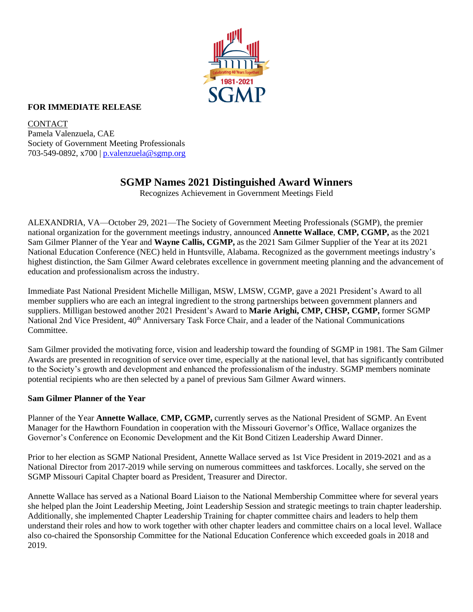

### **FOR IMMEDIATE RELEASE**

CONTACT Pamela Valenzuela, CAE Society of Government Meeting Professionals 703-549-0892, x700 | [p.valenzuela@sgmp.org](mailto:p.valenzuela@sgmp.org)

# **SGMP Names 2021 Distinguished Award Winners**

Recognizes Achievement in Government Meetings Field

ALEXANDRIA, VA—October 29, 2021—The Society of Government Meeting Professionals (SGMP), the premier national organization for the government meetings industry, announced **Annette Wallace**, **CMP, CGMP,** as the 2021 Sam Gilmer Planner of the Year and **Wayne Callis, CGMP,** as the 2021 Sam Gilmer Supplier of the Year at its 2021 National Education Conference (NEC) held in Huntsville, Alabama. Recognized as the government meetings industry's highest distinction, the Sam Gilmer Award celebrates excellence in government meeting planning and the advancement of education and professionalism across the industry.

Immediate Past National President Michelle Milligan, MSW, LMSW, CGMP, gave a 2021 President's Award to all member suppliers who are each an integral ingredient to the strong partnerships between government planners and suppliers. Milligan bestowed another 2021 President's Award to **Marie Arighi, CMP, CHSP, CGMP,** former SGMP National 2nd Vice President, 40<sup>th</sup> Anniversary Task Force Chair, and a leader of the National Communications Committee.

Sam Gilmer provided the motivating force, vision and leadership toward the founding of SGMP in 1981. The Sam Gilmer Awards are presented in recognition of service over time, especially at the national level, that has significantly contributed to the Society's growth and development and enhanced the professionalism of the industry. SGMP members nominate potential recipients who are then selected by a panel of previous Sam Gilmer Award winners.

#### **Sam Gilmer Planner of the Year**

Planner of the Year **Annette Wallace**, **CMP, CGMP,** currently serves as the National President of SGMP. An Event Manager for the Hawthorn Foundation in cooperation with the Missouri Governor's Office, Wallace organizes the Governor's Conference on Economic Development and the Kit Bond Citizen Leadership Award Dinner.

Prior to her election as SGMP National President, Annette Wallace served as 1st Vice President in 2019-2021 and as a National Director from 2017-2019 while serving on numerous committees and taskforces. Locally, she served on the SGMP Missouri Capital Chapter board as President, Treasurer and Director.

Annette Wallace has served as a National Board Liaison to the National Membership Committee where for several years she helped plan the Joint Leadership Meeting, Joint Leadership Session and strategic meetings to train chapter leadership. Additionally, she implemented Chapter Leadership Training for chapter committee chairs and leaders to help them understand their roles and how to work together with other chapter leaders and committee chairs on a local level. Wallace also co-chaired the Sponsorship Committee for the National Education Conference which exceeded goals in 2018 and 2019.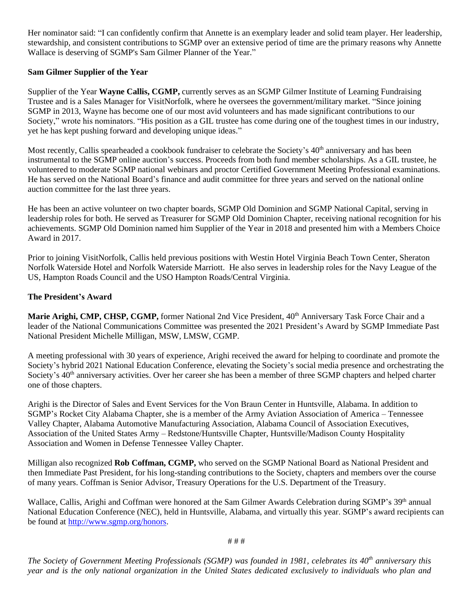Her nominator said: "I can confidently confirm that Annette is an exemplary leader and solid team player. Her leadership, stewardship, and consistent contributions to SGMP over an extensive period of time are the primary reasons why Annette Wallace is deserving of SGMP's Sam Gilmer Planner of the Year."

## **Sam Gilmer Supplier of the Year**

Supplier of the Year **Wayne Callis, CGMP,** currently serves as an SGMP Gilmer Institute of Learning Fundraising Trustee and is a Sales Manager for VisitNorfolk, where he oversees the government/military market. "Since joining SGMP in 2013, Wayne has become one of our most avid volunteers and has made significant contributions to our Society," wrote his nominators. "His position as a GIL trustee has come during one of the toughest times in our industry, yet he has kept pushing forward and developing unique ideas."

Most recently, Callis spearheaded a cookbook fundraiser to celebrate the Society's 40<sup>th</sup> anniversary and has been instrumental to the SGMP online auction's success. Proceeds from both fund member scholarships. As a GIL trustee, he volunteered to moderate SGMP national webinars and proctor Certified Government Meeting Professional examinations. He has served on the National Board's finance and audit committee for three years and served on the national online auction committee for the last three years.

He has been an active volunteer on two chapter boards, SGMP Old Dominion and SGMP National Capital, serving in leadership roles for both. He served as Treasurer for SGMP Old Dominion Chapter, receiving national recognition for his achievements. SGMP Old Dominion named him Supplier of the Year in 2018 and presented him with a Members Choice Award in 2017.

Prior to joining VisitNorfolk, Callis held previous positions with Westin Hotel Virginia Beach Town Center, Sheraton Norfolk Waterside Hotel and Norfolk Waterside Marriott. He also serves in leadership roles for the Navy League of the US, Hampton Roads Council and the USO Hampton Roads/Central Virginia.

#### **The President's Award**

**Marie Arighi, CMP, CHSP, CGMP,** former National 2nd Vice President, 40<sup>th</sup> Anniversary Task Force Chair and a leader of the National Communications Committee was presented the 2021 President's Award by SGMP Immediate Past National President Michelle Milligan, MSW, LMSW, CGMP.

A meeting professional with 30 years of experience, Arighi received the award for helping to coordinate and promote the Society's hybrid 2021 National Education Conference, elevating the Society's social media presence and orchestrating the Society's 40<sup>th</sup> anniversary activities. Over her career she has been a member of three SGMP chapters and helped charter one of those chapters.

Arighi is the Director of Sales and Event Services for the Von Braun Center in Huntsville, Alabama. In addition to SGMP's Rocket City Alabama Chapter, she is a member of the Army Aviation Association of America – Tennessee Valley Chapter, Alabama Automotive Manufacturing Association, Alabama Council of Association Executives, Association of the United States Army – Redstone/Huntsville Chapter, Huntsville/Madison County Hospitality Association and Women in Defense Tennessee Valley Chapter.

Milligan also recognized **Rob Coffman, CGMP,** who served on the SGMP National Board as National President and then Immediate Past President, for his long-standing contributions to the Society, chapters and members over the course of many years. Coffman is Senior Advisor, Treasury Operations for the U.S. Department of the Treasury.

Wallace, Callis, Arighi and Coffman were honored at the Sam Gilmer Awards Celebration during SGMP's 39<sup>th</sup> annual National Education Conference (NEC), held in Huntsville, Alabama, and virtually this year. SGMP's award recipients can be found at [http://www.sgmp.org/honors.](http://www.sgmp.org/honors)

*The Society of Government Meeting Professionals (SGMP) was founded in 1981, celebrates its 40th anniversary this year and is the only national organization in the United States dedicated exclusively to individuals who plan and*